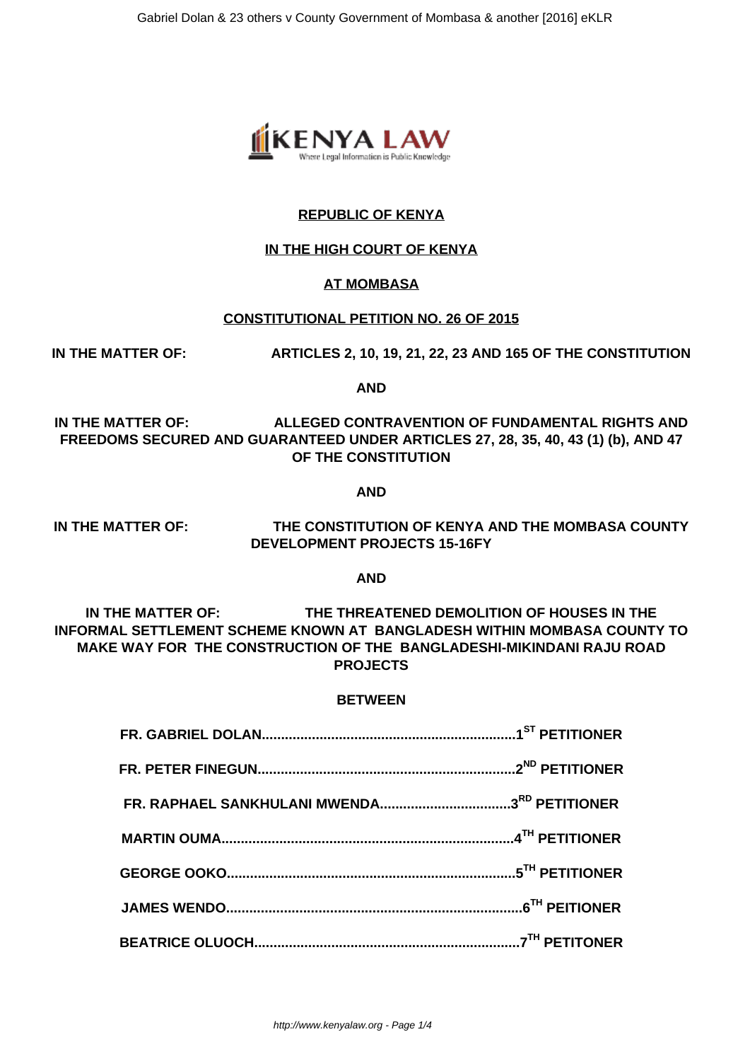

## **REPUBLIC OF KENYA**

### **IN THE HIGH COURT OF KENYA**

#### **AT MOMBASA**

#### **CONSTITUTIONAL PETITION NO. 26 OF 2015**

**IN THE MATTER OF: ARTICLES 2, 10, 19, 21, 22, 23 AND 165 OF THE CONSTITUTION**

**AND**

**IN THE MATTER OF: ALLEGED CONTRAVENTION OF FUNDAMENTAL RIGHTS AND FREEDOMS SECURED AND GUARANTEED UNDER ARTICLES 27, 28, 35, 40, 43 (1) (b), AND 47 OF THE CONSTITUTION**

**AND**

**IN THE MATTER OF: THE CONSTITUTION OF KENYA AND THE MOMBASA COUNTY DEVELOPMENT PROJECTS 15-16FY**

**AND**

**IN THE MATTER OF: THE THREATENED DEMOLITION OF HOUSES IN THE INFORMAL SETTLEMENT SCHEME KNOWN AT BANGLADESH WITHIN MOMBASA COUNTY TO MAKE WAY FOR THE CONSTRUCTION OF THE BANGLADESHI-MIKINDANI RAJU ROAD PROJECTS**

#### **BETWEEN**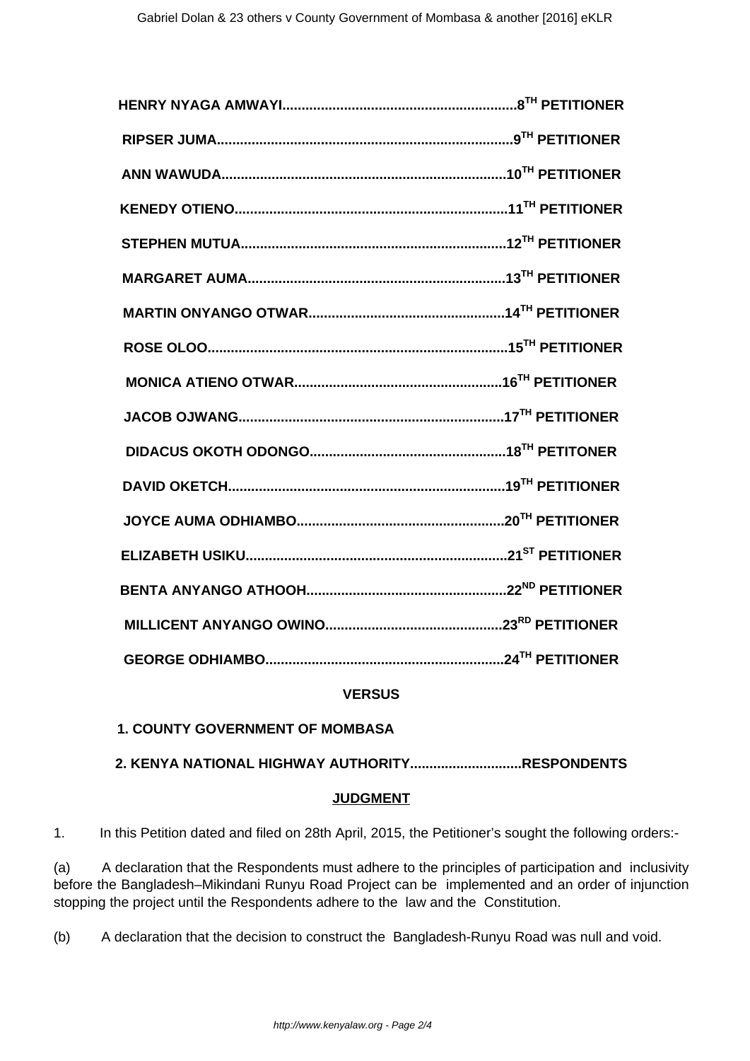## **VERSUS**

**1. COUNTY GOVERNMENT OF MOMBASA**

**2. KENYA NATIONAL HIGHWAY AUTHORITY.............................RESPONDENTS**

### **JUDGMENT**

1. In this Petition dated and filed on 28th April, 2015, the Petitioner's sought the following orders:-

(a) A declaration that the Respondents must adhere to the principles of participation and inclusivity before the Bangladesh–Mikindani Runyu Road Project can be implemented and an order of injunction stopping the project until the Respondents adhere to the law and the Constitution.

(b) A declaration that the decision to construct the Bangladesh-Runyu Road was null and void.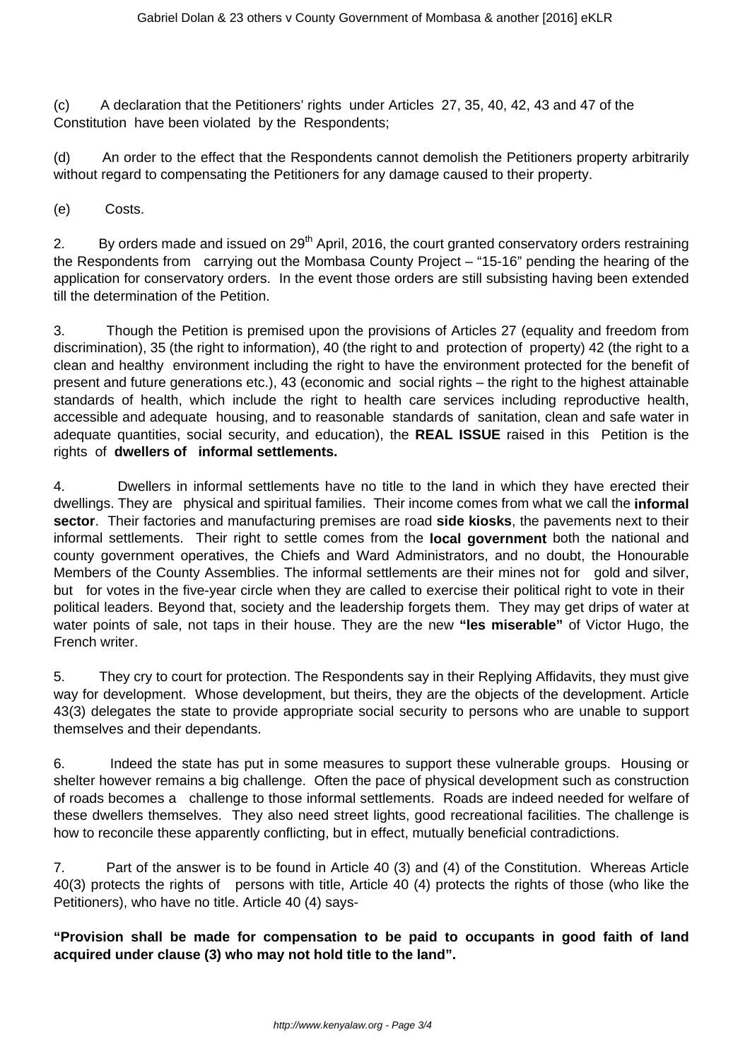(c) A declaration that the Petitioners' rights under Articles 27, 35, 40, 42, 43 and 47 of the Constitution have been violated by the Respondents;

(d) An order to the effect that the Respondents cannot demolish the Petitioners property arbitrarily without regard to compensating the Petitioners for any damage caused to their property.

(e) Costs.

2. By orders made and issued on 29<sup>th</sup> April, 2016, the court granted conservatory orders restraining the Respondents from carrying out the Mombasa County Project – "15-16" pending the hearing of the application for conservatory orders. In the event those orders are still subsisting having been extended till the determination of the Petition.

3. Though the Petition is premised upon the provisions of Articles 27 (equality and freedom from discrimination), 35 (the right to information), 40 (the right to and protection of property) 42 (the right to a clean and healthy environment including the right to have the environment protected for the benefit of present and future generations etc.), 43 (economic and social rights – the right to the highest attainable standards of health, which include the right to health care services including reproductive health, accessible and adequate housing, and to reasonable standards of sanitation, clean and safe water in adequate quantities, social security, and education), the **REAL ISSUE** raised in this Petition is the rights of **dwellers of informal settlements.**

4. Dwellers in informal settlements have no title to the land in which they have erected their dwellings. They are physical and spiritual families. Their income comes from what we call the **informal sector**. Their factories and manufacturing premises are road **side kiosks**, the pavements next to their informal settlements. Their right to settle comes from the **local government** both the national and county government operatives, the Chiefs and Ward Administrators, and no doubt, the Honourable Members of the County Assemblies. The informal settlements are their mines not for gold and silver, but for votes in the five-year circle when they are called to exercise their political right to vote in their political leaders. Beyond that, society and the leadership forgets them. They may get drips of water at water points of sale, not taps in their house. They are the new **"les miserable"** of Victor Hugo, the French writer.

5. They cry to court for protection. The Respondents say in their Replying Affidavits, they must give way for development. Whose development, but theirs, they are the objects of the development. Article 43(3) delegates the state to provide appropriate social security to persons who are unable to support themselves and their dependants.

6. Indeed the state has put in some measures to support these vulnerable groups. Housing or shelter however remains a big challenge. Often the pace of physical development such as construction of roads becomes a challenge to those informal settlements. Roads are indeed needed for welfare of these dwellers themselves. They also need street lights, good recreational facilities. The challenge is how to reconcile these apparently conflicting, but in effect, mutually beneficial contradictions.

7. Part of the answer is to be found in Article 40 (3) and (4) of the Constitution. Whereas Article 40(3) protects the rights of persons with title, Article 40 (4) protects the rights of those (who like the Petitioners), who have no title. Article 40 (4) says-

**"Provision shall be made for compensation to be paid to occupants in good faith of land acquired under clause (3) who may not hold title to the land".**